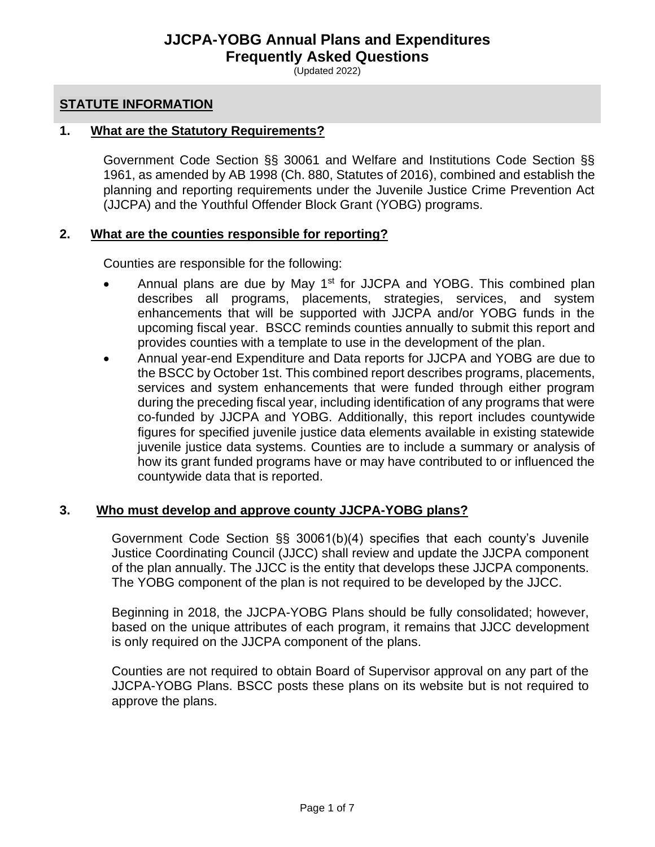# **JJCPA-YOBG Annual Plans and Expenditures Frequently Asked Questions**

(Updated 2022)

#### **STATUTE INFORMATION**

#### **1. What are the Statutory Requirements?**

Government Code Section §§ 30061 and Welfare and Institutions Code Section §§ 1961, as amended by AB 1998 (Ch. 880, Statutes of 2016), combined and establish the planning and reporting requirements under the Juvenile Justice Crime Prevention Act (JJCPA) and the Youthful Offender Block Grant (YOBG) programs.

#### **2. What are the counties responsible for reporting?**

Counties are responsible for the following:

- Annual plans are due by May 1<sup>st</sup> for JJCPA and YOBG. This combined plan describes all programs, placements, strategies, services, and system enhancements that will be supported with JJCPA and/or YOBG funds in the upcoming fiscal year. BSCC reminds counties annually to submit this report and provides counties with a template to use in the development of the plan.
- Annual year-end Expenditure and Data reports for JJCPA and YOBG are due to the BSCC by October 1st. This combined report describes programs, placements, services and system enhancements that were funded through either program during the preceding fiscal year, including identification of any programs that were co-funded by JJCPA and YOBG. Additionally, this report includes countywide figures for specified juvenile justice data elements available in existing statewide juvenile justice data systems. Counties are to include a summary or analysis of how its grant funded programs have or may have contributed to or influenced the countywide data that is reported.

#### **3. Who must develop and approve county JJCPA-YOBG plans?**

Government Code Section §§ 30061(b)(4) specifies that each county's Juvenile Justice Coordinating Council (JJCC) shall review and update the JJCPA component of the plan annually. The JJCC is the entity that develops these JJCPA components. The YOBG component of the plan is not required to be developed by the JJCC.

Beginning in 2018, the JJCPA-YOBG Plans should be fully consolidated; however, based on the unique attributes of each program, it remains that JJCC development is only required on the JJCPA component of the plans.

Counties are not required to obtain Board of Supervisor approval on any part of the JJCPA-YOBG Plans. BSCC posts these plans on its website but is not required to approve the plans.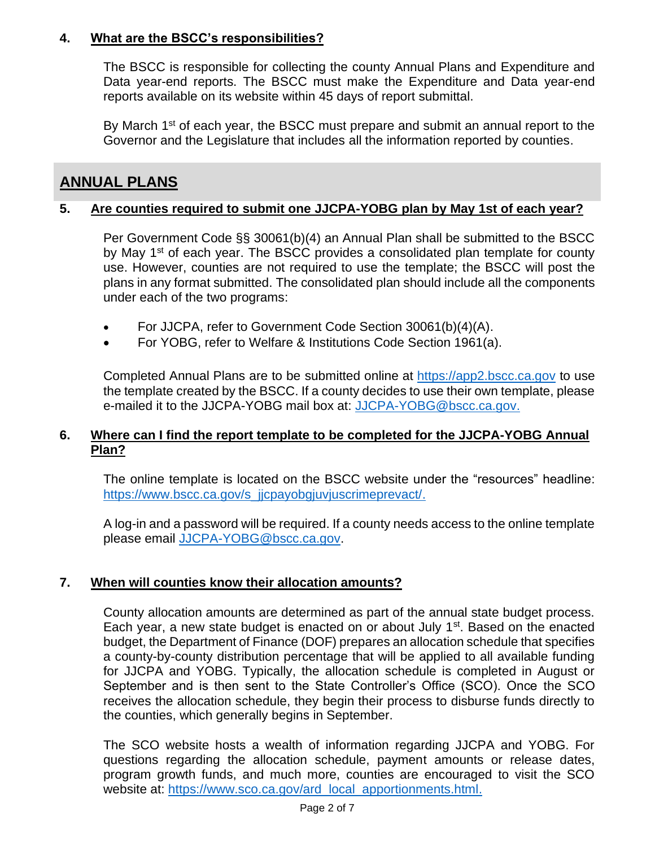# **4. What are the BSCC's responsibilities?**

The BSCC is responsible for collecting the county Annual Plans and Expenditure and Data year-end reports. The BSCC must make the Expenditure and Data year-end reports available on its website within 45 days of report submittal.

By March 1<sup>st</sup> of each year, the BSCC must prepare and submit an annual report to the Governor and the Legislature that includes all the information reported by counties.

# **ANNUAL PLANS**

## **5. Are counties required to submit one JJCPA-YOBG plan by May 1st of each year?**

Per Government Code §§ 30061(b)(4) an Annual Plan shall be submitted to the BSCC by May  $1<sup>st</sup>$  of each year. The BSCC provides a consolidated plan template for county use. However, counties are not required to use the template; the BSCC will post the plans in any format submitted. The consolidated plan should include all the components under each of the two programs:

- For JJCPA, refer to Government Code Section 30061(b)(4)(A).
- For YOBG, refer to Welfare & Institutions Code Section 1961(a).

Completed Annual Plans are to be submitted online at [https://app2.bscc.ca.gov](https://app2.bscc.ca.gov/) to use the template created by the BSCC. If a county decides to use their own template, please e-mailed it to the JJCPA-YOBG mail box at: [JJCPA-YOBG@bscc.ca.gov.](mailto:JJCPA-YOBG@bscc.ca.gov)

# **6. Where can I find the report template to be completed for the JJCPA-YOBG Annual Plan?**

The online template is located on the BSCC website under the "resources" headline: [https://www.bscc.ca.gov/s\\_jjcpayobgjuvjuscrimeprevact/.](https://www.bscc.ca.gov/s_jjcpayobgjuvjuscrimeprevact/)

A log-in and a password will be required. If a county needs access to the online template please email [JJCPA-YOBG@bscc.ca.gov.](mailto:JJCPA-YOBG@bscc.ca.gov)

# **7. When will counties know their allocation amounts?**

County allocation amounts are determined as part of the annual state budget process. Each year, a new state budget is enacted on or about July  $1<sup>st</sup>$ . Based on the enacted budget, the Department of Finance (DOF) prepares an allocation schedule that specifies a county-by-county distribution percentage that will be applied to all available funding for JJCPA and YOBG. Typically, the allocation schedule is completed in August or September and is then sent to the State Controller's Office (SCO). Once the SCO receives the allocation schedule, they begin their process to disburse funds directly to the counties, which generally begins in September.

The SCO website hosts a wealth of information regarding JJCPA and YOBG. For questions regarding the allocation schedule, payment amounts or release dates, program growth funds, and much more, counties are encouraged to visit the SCO website at: [https://www.sco.ca.gov/ard\\_local\\_apportionments.html.](https://www.sco.ca.gov/ard_local_apportionments.html)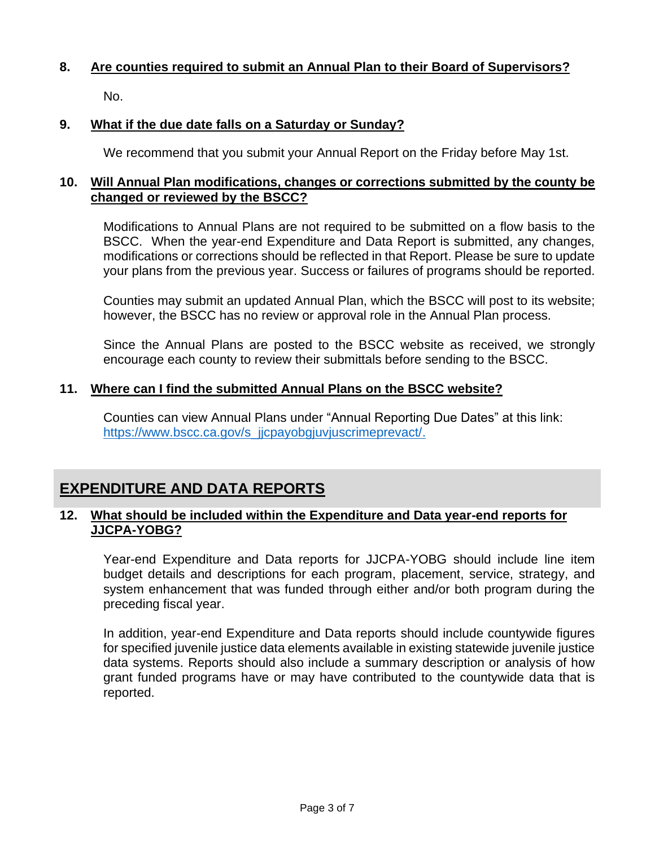# **8. Are counties required to submit an Annual Plan to their Board of Supervisors?**

No.

# **9. What if the due date falls on a Saturday or Sunday?**

We recommend that you submit your Annual Report on the Friday before May 1st.

## **10. Will Annual Plan modifications, changes or corrections submitted by the county be changed or reviewed by the BSCC?**

Modifications to Annual Plans are not required to be submitted on a flow basis to the BSCC. When the year-end Expenditure and Data Report is submitted, any changes, modifications or corrections should be reflected in that Report. Please be sure to update your plans from the previous year. Success or failures of programs should be reported.

Counties may submit an updated Annual Plan, which the BSCC will post to its website; however, the BSCC has no review or approval role in the Annual Plan process.

Since the Annual Plans are posted to the BSCC website as received, we strongly encourage each county to review their submittals before sending to the BSCC.

# **11. Where can I find the submitted Annual Plans on the BSCC website?**

Counties can view Annual Plans under "Annual Reporting Due Dates" at this link: https://www.bscc.ca.gov/s\_jjcpayobgjuvjuscrimeprevact/.

# **EXPENDITURE AND DATA REPORTS**

# **12. What should be included within the Expenditure and Data year-end reports for JJCPA-YOBG?**

Year-end Expenditure and Data reports for JJCPA-YOBG should include line item budget details and descriptions for each program, placement, service, strategy, and system enhancement that was funded through either and/or both program during the preceding fiscal year.

In addition, year-end Expenditure and Data reports should include countywide figures for specified juvenile justice data elements available in existing statewide juvenile justice data systems. Reports should also include a summary description or analysis of how grant funded programs have or may have contributed to the countywide data that is reported.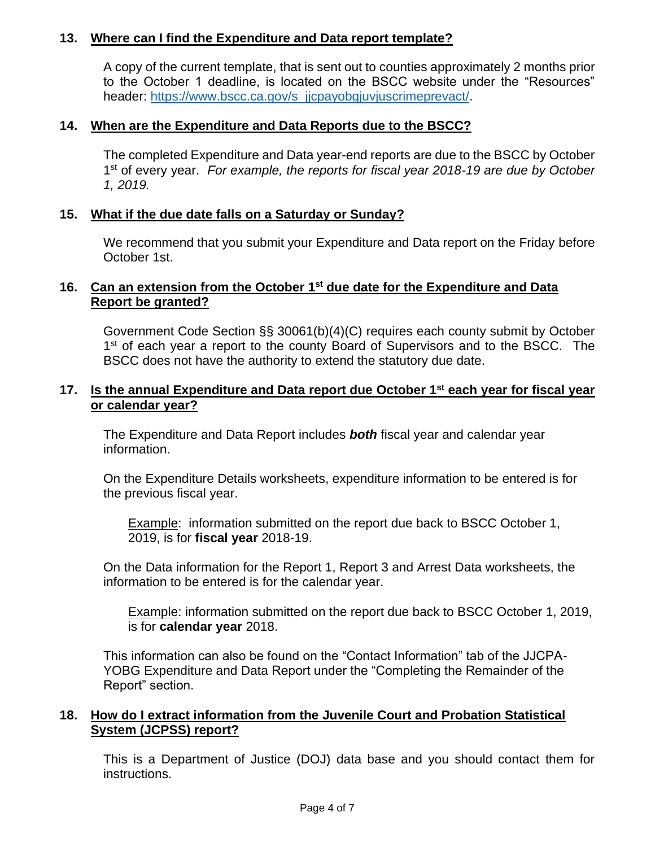# **13. Where can I find the Expenditure and Data report template?**

A copy of the current template, that is sent out to counties approximately 2 months prior to the October 1 deadline, is located on the BSCC website under the "Resources" header: https://www.bscc.ca.gov/s\_jjcpayobgjuvjuscrimeprevact/.

# **14. When are the Expenditure and Data Reports due to the BSCC?**

The completed Expenditure and Data year-end reports are due to the BSCC by October 1 st of every year. *For example, the reports for fiscal year 2018-19 are due by October 1, 2019.*

### **15. What if the due date falls on a Saturday or Sunday?**

We recommend that you submit your Expenditure and Data report on the Friday before October 1st.

# **16. Can an extension from the October 1st due date for the Expenditure and Data Report be granted?**

Government Code Section §§ 30061(b)(4)(C) requires each county submit by October 1<sup>st</sup> of each year a report to the county Board of Supervisors and to the BSCC. The BSCC does not have the authority to extend the statutory due date.

## **17. Is the annual Expenditure and Data report due October 1st each year for fiscal year or calendar year?**

The Expenditure and Data Report includes *both* fiscal year and calendar year information.

On the Expenditure Details worksheets, expenditure information to be entered is for the previous fiscal year.

Example: information submitted on the report due back to BSCC October 1, 2019, is for **fiscal year** 2018-19.

On the Data information for the Report 1, Report 3 and Arrest Data worksheets, the information to be entered is for the calendar year.

Example: information submitted on the report due back to BSCC October 1, 2019, is for **calendar year** 2018.

This information can also be found on the "Contact Information" tab of the JJCPA-YOBG Expenditure and Data Report under the "Completing the Remainder of the Report" section.

# **18. How do I extract information from the Juvenile Court and Probation Statistical System (JCPSS) report?**

This is a Department of Justice (DOJ) data base and you should contact them for instructions.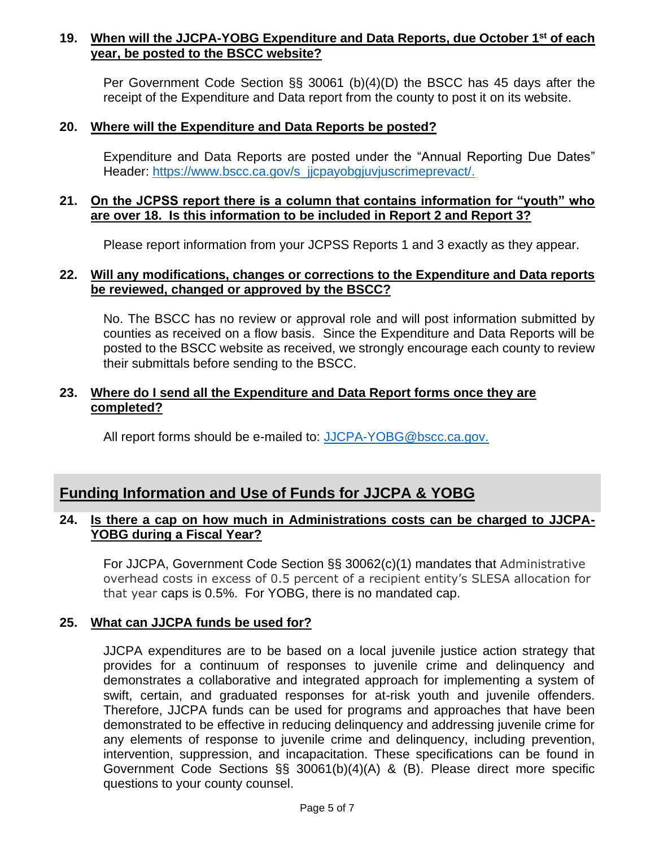# **19. When will the JJCPA-YOBG Expenditure and Data Reports, due October 1st of each year, be posted to the BSCC website?**

Per Government Code Section §§ 30061 (b)(4)(D) the BSCC has 45 days after the receipt of the Expenditure and Data report from the county to post it on its website.

#### **20. Where will the Expenditure and Data Reports be posted?**

Expenditure and Data Reports are posted under the "Annual Reporting Due Dates" Header: https://www.bscc.ca.gov/s\_jjcpayobgjuvjuscrimeprevact/.

## **21. On the JCPSS report there is a column that contains information for "youth" who are over 18. Is this information to be included in Report 2 and Report 3?**

Please report information from your JCPSS Reports 1 and 3 exactly as they appear.

#### **22. Will any modifications, changes or corrections to the Expenditure and Data reports be reviewed, changed or approved by the BSCC?**

No. The BSCC has no review or approval role and will post information submitted by counties as received on a flow basis. Since the Expenditure and Data Reports will be posted to the BSCC website as received, we strongly encourage each county to review their submittals before sending to the BSCC.

# **23. Where do I send all the Expenditure and Data Report forms once they are completed?**

All report forms should be e-mailed to: [JJCPA-YOBG@bscc.ca.gov.](mailto:JJCPA-YOBG@bscc.ca.gov)

# **Funding Information and Use of Funds for JJCPA & YOBG**

### **24. Is there a cap on how much in Administrations costs can be charged to JJCPA-YOBG during a Fiscal Year?**

For JJCPA, Government Code Section §§ 30062(c)(1) mandates that Administrative overhead costs in excess of 0.5 percent of a recipient entity's SLESA allocation for that year caps is 0.5%. For YOBG, there is no mandated cap.

# **25. What can JJCPA funds be used for?**

JJCPA expenditures are to be based on a local juvenile justice action strategy that provides for a continuum of responses to juvenile crime and delinquency and demonstrates a collaborative and integrated approach for implementing a system of swift, certain, and graduated responses for at-risk youth and juvenile offenders. Therefore, JJCPA funds can be used for programs and approaches that have been demonstrated to be effective in reducing delinquency and addressing juvenile crime for any elements of response to juvenile crime and delinquency, including prevention, intervention, suppression, and incapacitation. These specifications can be found in Government Code Sections §§ 30061(b)(4)(A) & (B). Please direct more specific questions to your county counsel.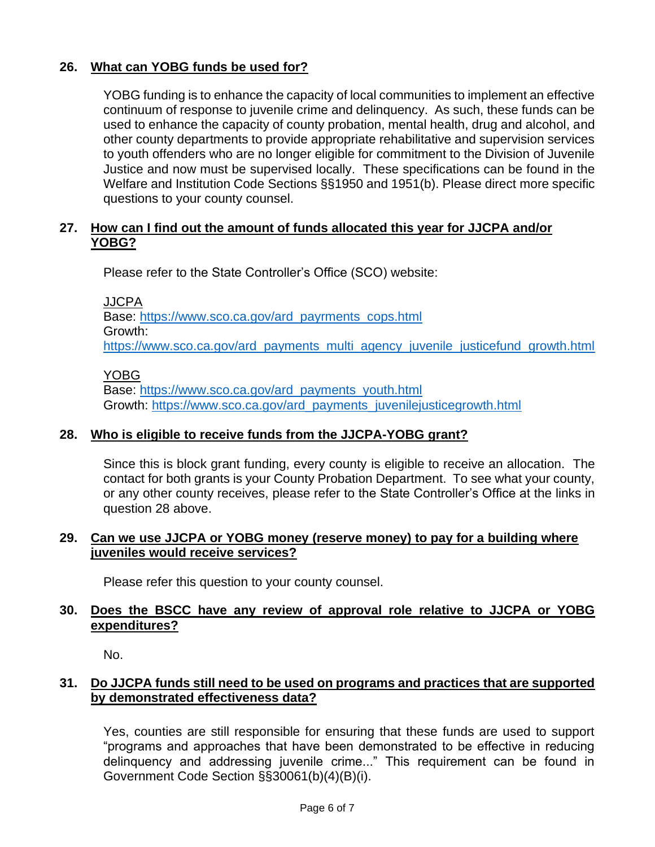# **26. What can YOBG funds be used for?**

YOBG funding is to enhance the capacity of local communities to implement an effective continuum of response to juvenile crime and delinquency. As such, these funds can be used to enhance the capacity of county probation, mental health, drug and alcohol, and other county departments to provide appropriate rehabilitative and supervision services to youth offenders who are no longer eligible for commitment to the Division of Juvenile Justice and now must be supervised locally. These specifications can be found in the Welfare and Institution Code Sections §§1950 and 1951(b). Please direct more specific questions to your county counsel.

# **27. How can I find out the amount of funds allocated this year for JJCPA and/or YOBG?**

Please refer to the State Controller's Office (SCO) website:

JJCPA

Base: [https://www.sco.ca.gov/ard\\_payrments\\_cops.html](https://www.sco.ca.gov/ard_payrments_cops.html) Growth: [https://www.sco.ca.gov/ard\\_payments\\_multi\\_agency\\_juvenile\\_justicefund\\_growth.html](https://www.sco.ca.gov/ard_payments_multi_agency_juvenile_justicefund_growth.html)

#### YOBG

Base: [https://www.sco.ca.gov/ard\\_payments\\_youth.html](https://www.sco.ca.gov/ard_payments_youth.html) Growth: [https://www.sco.ca.gov/ard\\_payments\\_juvenilejusticegrowth.html](https://www.sco.ca.gov/ard_payments_juvenilejusticegrowth.html)

# **28. Who is eligible to receive funds from the JJCPA-YOBG grant?**

Since this is block grant funding, every county is eligible to receive an allocation. The contact for both grants is your County Probation Department. To see what your county, or any other county receives, please refer to the State Controller's Office at the links in question 28 above.

# **29. Can we use JJCPA or YOBG money (reserve money) to pay for a building where juveniles would receive services?**

Please refer this question to your county counsel.

### **30. Does the BSCC have any review of approval role relative to JJCPA or YOBG expenditures?**

No.

# **31. Do JJCPA funds still need to be used on programs and practices that are supported by demonstrated effectiveness data?**

Yes, counties are still responsible for ensuring that these funds are used to support "programs and approaches that have been demonstrated to be effective in reducing delinquency and addressing juvenile crime..." This requirement can be found in Government Code Section §§30061(b)(4)(B)(i).